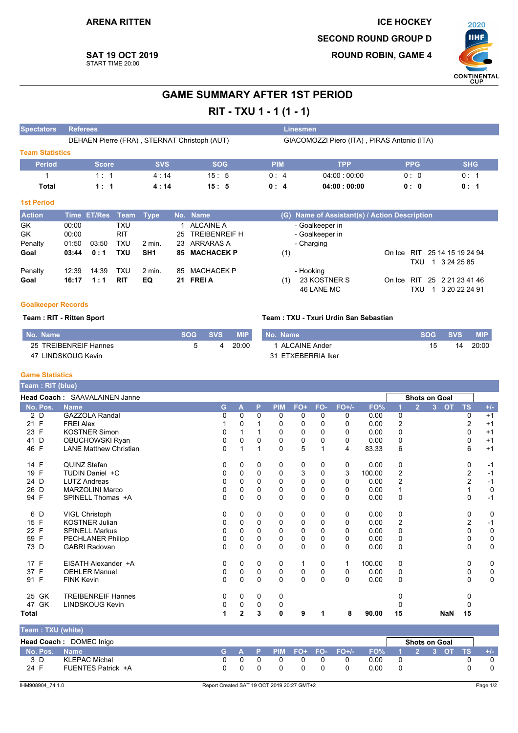**SAT 19 OCT 2019** 

START TIME 20:00



### **GAME SUMMARY AFTER 1ST PERIOD**

RIT - TXU 1 - 1 (1 - 1)

| <b>Spectators</b>      | <b>Referees</b> |               |            |                 |    |                                              |            |     | Linesmen                                    |        |                  |                   |
|------------------------|-----------------|---------------|------------|-----------------|----|----------------------------------------------|------------|-----|---------------------------------------------|--------|------------------|-------------------|
|                        |                 |               |            |                 |    | DEHAEN Pierre (FRA), STERNAT Christoph (AUT) |            |     | GIACOMOZZI Piero (ITA), PIRAS Antonio (ITA) |        |                  |                   |
| <b>Team Statistics</b> |                 |               |            |                 |    |                                              |            |     |                                             |        |                  |                   |
| <b>Period</b>          |                 | <b>Score</b>  |            | <b>SVS</b>      |    | <b>SOG</b>                                   | <b>PIM</b> |     | <b>TPP</b>                                  |        | <b>PPG</b>       | <b>SHG</b>        |
|                        |                 | 1:1           |            | 4:14            |    | 15:5                                         | 0:4        |     | 04.00:00.00                                 |        | 0:0              | 0:1               |
| Total                  |                 | 1:1           |            | 4:14            |    | 15:5                                         | 0:4        |     | 04:00:00:00                                 |        | 0: 0             | 0: 1              |
| <b>1st Period</b>      |                 |               |            |                 |    |                                              |            |     |                                             |        |                  |                   |
| <b>Action</b>          | <b>Time</b>     | <b>ET/Res</b> | Team       | <b>Type</b>     |    | No. Name                                     |            | (G) | Name of Assistant(s) / Action Description   |        |                  |                   |
| GK                     | 00:00           |               | <b>TXU</b> |                 |    | <b>ALCAINE A</b>                             |            |     | - Goalkeeper in                             |        |                  |                   |
| GK                     | 00:00           |               | <b>RIT</b> |                 | 25 | <b>TREIBENREIF H</b>                         |            |     | - Goalkeeper in                             |        |                  |                   |
| Penalty                | 01:50           | 03:50         | <b>TXU</b> | $2$ min.        | 23 | ARRARAS A                                    |            |     | - Charging                                  |        |                  |                   |
| Goal                   | 03:44           | 0:1           | <b>TXU</b> | SH <sub>1</sub> | 85 | <b>MACHACEK P</b>                            |            | (1) |                                             | On Ice | <b>RIT</b>       | 25 14 15 19 24 94 |
|                        |                 |               |            |                 |    |                                              |            |     |                                             |        | TXU<br>-1        | 3 24 25 85        |
| Penalty                | 12:39           | 14:39         | <b>TXU</b> | $2$ min.        | 85 | <b>MACHACEK P</b>                            |            |     | - Hooking                                   |        |                  |                   |
| Goal                   | 16:17           | 1:1           | <b>RIT</b> | EQ              | 21 | <b>FREI A</b>                                |            | (1) | 23 KOSTNER S                                | On Ice | 25<br><b>RIT</b> | 2 21 23 41 46     |
|                        |                 |               |            |                 |    |                                              |            |     | 46 LANE MC                                  |        | TXU              | 3 20 22 24 91     |

#### **Goalkeeper Records**

#### Team: RIT - Ritten Sport

#### Team: TXU - Txuri Urdin San Sebastian

| . No.<br>. Name'                | SOG. | <b>SVS</b> | <b>MIP</b> | <b>Name</b><br>NNO.   | svs | <b>MIP</b> |
|---------------------------------|------|------------|------------|-----------------------|-----|------------|
| 25<br><b>TREIBENREIF Hannes</b> |      |            | 20:00      | <b>ALCAINE Ander</b>  |     | 20:00      |
| LINDSKOUG Kevin<br>-47          |      |            |            | ETXEBERRIA Iker<br>31 |     |            |

#### **Game Statistics**

| Team : RIT (blue) |                               |   |             |             |            |             |             |             |        |                |                |                |            |                |             |
|-------------------|-------------------------------|---|-------------|-------------|------------|-------------|-------------|-------------|--------|----------------|----------------|----------------|------------|----------------|-------------|
|                   | Head Coach: SAAVALAINEN Janne |   |             |             |            |             |             |             |        |                | Shots on Goal  |                |            |                |             |
| No. Pos.          | <b>Name</b>                   | G | A           | P           | <b>PIM</b> | FO+         | FO-         | $FO+/-$     | FO%    |                | $\overline{2}$ | 3 <sup>1</sup> | <b>OT</b>  | <b>TS</b>      | $+/-$       |
| 2 D               | <b>GAZZOLA Randal</b>         | 0 | 0           | 0           | 0          | 0           | 0           | 0           | 0.00   | 0              |                |                |            | 0              | $+1$        |
| 21 F              | <b>FREI Alex</b>              |   | 0           |             | 0          | 0           | $\Omega$    | 0           | 0.00   | 2              |                |                |            | 2              | $+1$        |
| 23 F              | <b>KOSTNER Simon</b>          | 0 |             |             | 0          | 0           | $\Omega$    | $\Omega$    | 0.00   | 0              |                |                |            | 0              | $+1$        |
| 41<br>D           | OBUCHOWSKI Ryan               | 0 | $\Omega$    | 0           | $\Omega$   | 0           | 0           | 0           | 0.00   | 0              |                |                |            | 0              | $+1$        |
| 46 F              | <b>LANE Matthew Christian</b> | 0 |             | 1           | 0          | 5           | 1           | 4           | 83.33  | 6              |                |                |            | 6              | $+1$        |
| 14 F              | QUINZ Stefan                  | 0 | 0           | 0           | 0          | 0           | 0           | $\mathbf 0$ | 0.00   | 0              |                |                |            | 0              | $-1$        |
| 19 F              | TUDIN Daniel +C               | 0 | 0           | $\Omega$    | 0          | 3           | $\Omega$    | 3           | 100.00 | $\overline{2}$ |                |                |            | 2              | $-1$        |
| 24 D              | <b>LUTZ Andreas</b>           | 0 | $\Omega$    | 0           | 0          | 0           | $\Omega$    | $\Omega$    | 0.00   | $\overline{2}$ |                |                |            | 2              | $-1$        |
| 26 D              | <b>MARZOLINI Marco</b>        | 0 | $\Omega$    | $\Omega$    | 0          | 0           | $\Omega$    | 0           | 0.00   | $\mathbf{1}$   |                |                |            |                | $\mathbf 0$ |
| 94 F              | SPINELL Thomas +A             | 0 | $\Omega$    | 0           | $\Omega$   | $\mathbf 0$ | $\Omega$    | $\Omega$    | 0.00   | 0              |                |                |            | 0              | $-1$        |
| 6 D               | VIGL Christoph                | 0 | 0           | 0           | 0          | 0           | 0           | 0           | 0.00   | 0              |                |                |            | 0              | 0           |
| 15 F              | <b>KOSTNER Julian</b>         | 0 | 0           | $\Omega$    | 0          | 0           | $\Omega$    | $\Omega$    | 0.00   | $\overline{2}$ |                |                |            | $\overline{2}$ | $-1$        |
| 22 F              | <b>SPINELL Markus</b>         | 0 | $\Omega$    | 0           | 0          | 0           | 0           | 0           | 0.00   | 0              |                |                |            | 0              | $\mathbf 0$ |
| 59 F              | PECHLANER Philipp             | 0 | 0           | 0           | 0          | 0           | $\mathbf 0$ | 0           | 0.00   | 0              |                |                |            | 0              | $\pmb{0}$   |
| 73 D              | <b>GABRI Radovan</b>          | 0 | $\Omega$    | $\Omega$    | $\Omega$   | $\mathbf 0$ | $\Omega$    | $\Omega$    | 0.00   | 0              |                |                |            | 0              | $\pmb{0}$   |
| 17 F              | EISATH Alexander +A           | 0 | 0           | 0           | 0          | 1           | 0           | 1           | 100.00 | 0              |                |                |            | 0              | 0           |
| 37 F              | <b>OEHLER Manuel</b>          | 0 | 0           | 0           | 0          | 0           | 0           | 0           | 0.00   | 0              |                |                |            | 0              | 0           |
| 91 F              | <b>FINK Kevin</b>             | 0 | $\Omega$    | $\Omega$    | $\Omega$   | $\mathbf 0$ | $\Omega$    | $\Omega$    | 0.00   | $\Omega$       |                |                |            | $\Omega$       | 0           |
| 25 GK             | <b>TREIBENREIF Hannes</b>     | 0 | 0           | 0           | 0          |             |             |             |        | 0              |                |                |            | 0              |             |
| 47 GK             | <b>LINDSKOUG Kevin</b>        | 0 | $\mathbf 0$ | $\mathbf 0$ | 0          |             |             |             |        |                |                |                |            | 0              |             |
| <b>Total</b>      |                               | 1 | 2           | 3           | 0          | 9           | 1           | 8           | 90.00  | 15             |                |                | <b>NaN</b> | 15             |             |
| Team: TXU (white) |                               |   |             |             |            |             |             |             |        |                |                |                |            |                |             |

|               | <b>Head Coach: DOMEC Inigo</b> |  |  |          |                         |                   | <b>Shots on Goal</b> |  |       |
|---------------|--------------------------------|--|--|----------|-------------------------|-------------------|----------------------|--|-------|
| No. Pos. Name |                                |  |  |          | G A P PIM FO+ FO- FO+/- | 「FO% 1 2 3 OT TS」 |                      |  | $+/-$ |
| 3 D           | KLEPAC Michal                  |  |  | 0        |                         | 0.00              |                      |  |       |
| 24 F          | FUENTES Patrick +A             |  |  | $\Omega$ |                         | 0.00              |                      |  |       |
|               |                                |  |  |          |                         |                   |                      |  |       |